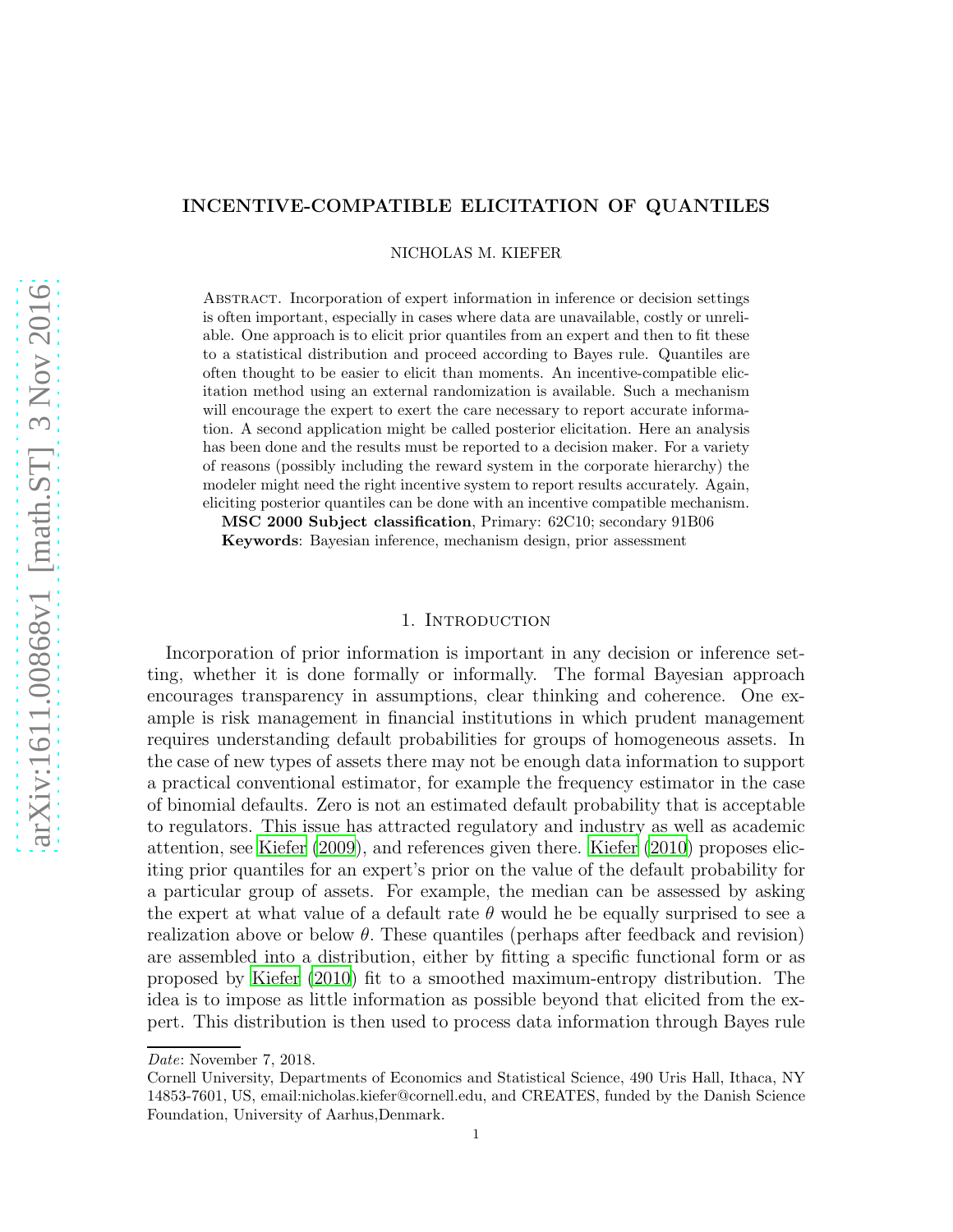# INCENTIVE-COMPATIBLE ELICITATION OF QUANTILES

NICHOLAS M. KIEFER

Abstract. Incorporation of expert information in inference or decision settings is often important, especially in cases where data are unavailable, costly or unreliable. One approach is to elicit prior quantiles from an expert and then to fit these to a statistical distribution and proceed according to Bayes rule. Quantiles are often thought to be easier to elicit than moments. An incentive-compatible elicitation method using an external randomization is available. Such a mechanism will encourage the expert to exert the care necessary to report accurate information. A second application might be called posterior elicitation. Here an analysis has been done and the results must be reported to a decision maker. For a variety of reasons (possibly including the reward system in the corporate hierarchy) the modeler might need the right incentive system to report results accurately. Again, eliciting posterior quantiles can be done with an incentive compatible mechanism.

MSC 2000 Subject classification, Primary: 62C10; secondary 91B06 Keywords: Bayesian inference, mechanism design, prior assessment

## 1. INTRODUCTION

Incorporation of prior information is important in any decision or inference setting, whether it is done formally or informally. The formal Bayesian approach encourages transparency in assumptions, clear thinking and coherence. One example is risk management in financial institutions in which prudent management requires understanding default probabilities for groups of homogeneous assets. In the case of new types of assets there may not be enough data information to support a practical conventional estimator, for example the frequency estimator in the case of binomial defaults. Zero is not an estimated default probability that is acceptable to regulators. This issue has attracted regulatory and industry as well as academic attention, see [Kiefer \(2009](#page-5-0)), and references given there. [Kiefer \(2010](#page-5-1)) proposes eliciting prior quantiles for an expert's prior on the value of the default probability for a particular group of assets. For example, the median can be assessed by asking the expert at what value of a default rate  $\theta$  would he be equally surprised to see a realization above or below  $\theta$ . These quantiles (perhaps after feedback and revision) are assembled into a distribution, either by fitting a specific functional form or as proposed by [Kiefer \(2010](#page-5-1)) fit to a smoothed maximum-entropy distribution. The idea is to impose as little information as possible beyond that elicited from the expert. This distribution is then used to process data information through Bayes rule

Date: November 7, 2018.

Cornell University, Departments of Economics and Statistical Science, 490 Uris Hall, Ithaca, NY 14853-7601, US, email:nicholas.kiefer@cornell.edu, and CREATES, funded by the Danish Science Foundation, University of Aarhus,Denmark.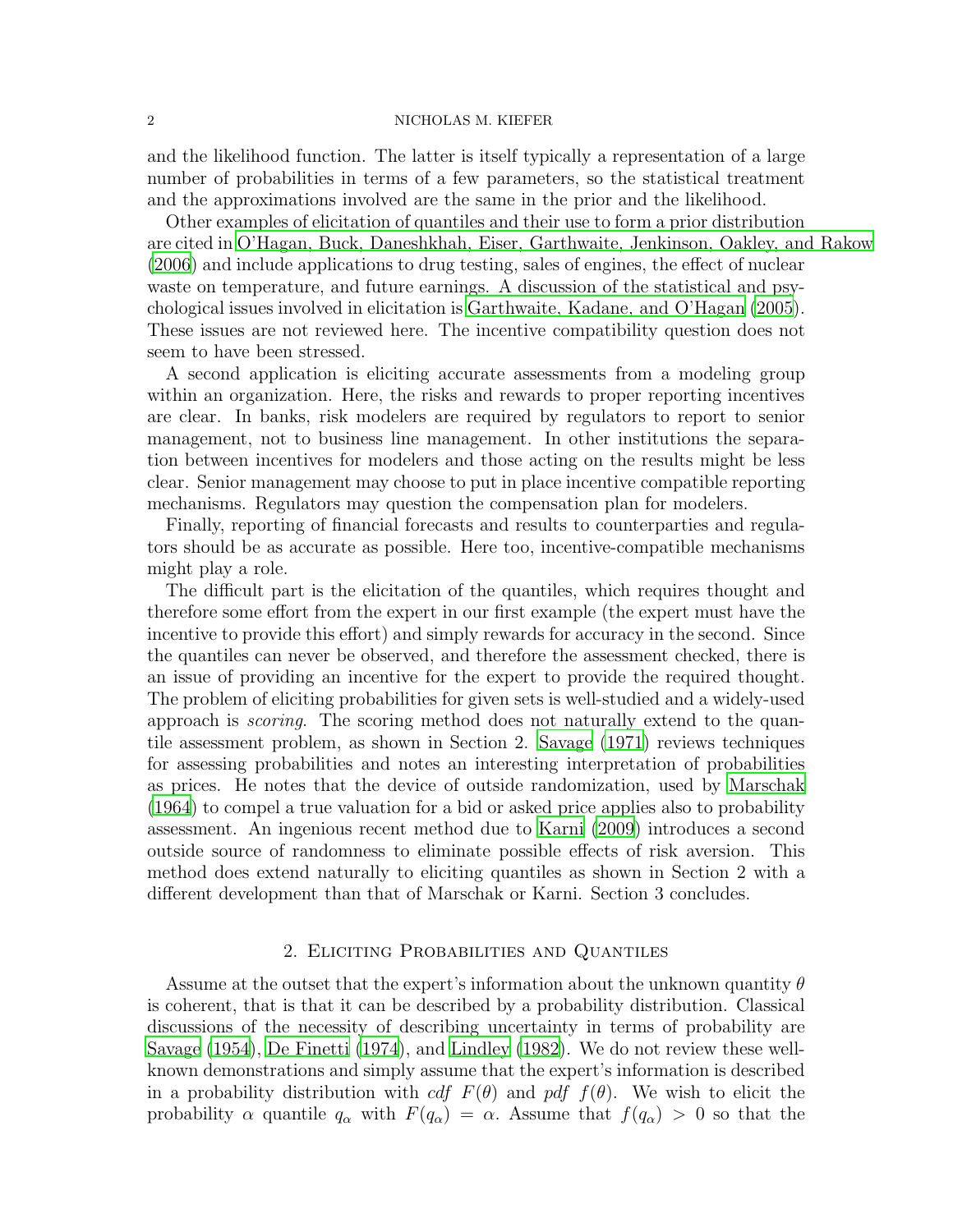#### 2 NICHOLAS M. KIEFER

and the likelihood function. The latter is itself typically a representation of a large number of probabilities in terms of a few parameters, so the statistical treatment and the approximations involved are the same in the prior and the likelihood.

Other examples of elicitation of quantiles and their use to form a prior distribution are cited in [O'Hagan, Buck, Daneshkhah, Eiser, Garthwaite, Jenkinson, Oakley, and Rakow](#page-5-2) [\(2006\)](#page-5-2) and include applications to drug testing, sales of engines, the effect of nuclear waste on temperature, and future earnings. A discussion of the statistical and psychological issues involved in elicitation is [Garthwaite, Kadane, and O'Hagan \(2005\)](#page-5-3). These issues are not reviewed here. The incentive compatibility question does not seem to have been stressed.

A second application is eliciting accurate assessments from a modeling group within an organization. Here, the risks and rewards to proper reporting incentives are clear. In banks, risk modelers are required by regulators to report to senior management, not to business line management. In other institutions the separation between incentives for modelers and those acting on the results might be less clear. Senior management may choose to put in place incentive compatible reporting mechanisms. Regulators may question the compensation plan for modelers.

Finally, reporting of financial forecasts and results to counterparties and regulators should be as accurate as possible. Here too, incentive-compatible mechanisms might play a role.

The difficult part is the elicitation of the quantiles, which requires thought and therefore some effort from the expert in our first example (the expert must have the incentive to provide this effort) and simply rewards for accuracy in the second. Since the quantiles can never be observed, and therefore the assessment checked, there is an issue of providing an incentive for the expert to provide the required thought. The problem of eliciting probabilities for given sets is well-studied and a widely-used approach is *scoring*. The scoring method does not naturally extend to the quantile assessment problem, as shown in Section 2. [Savage \(1971](#page-5-4)) reviews techniques for assessing probabilities and notes an interesting interpretation of probabilities as prices. He notes that the device of outside randomization, used by [Marschak](#page-5-5) [\(1964\)](#page-5-5) to compel a true valuation for a bid or asked price applies also to probability assessment. An ingenious recent method due to [Karni \(2009\)](#page-5-6) introduces a second outside source of randomness to eliminate possible effects of risk aversion. This method does extend naturally to eliciting quantiles as shown in Section 2 with a different development than that of Marschak or Karni. Section 3 concludes.

### 2. Eliciting Probabilities and Quantiles

Assume at the outset that the expert's information about the unknown quantity  $\theta$ is coherent, that is that it can be described by a probability distribution. Classical discussions of the necessity of describing uncertainty in terms of probability are [Savage \(1954](#page-5-7)), [De Finetti \(1974](#page-4-0)), and [Lindley \(1982](#page-5-8)). We do not review these wellknown demonstrations and simply assume that the expert's information is described in a probability distribution with cdf  $F(\theta)$  and pdf  $f(\theta)$ . We wish to elicit the probability  $\alpha$  quantile  $q_{\alpha}$  with  $F(q_{\alpha}) = \alpha$ . Assume that  $f(q_{\alpha}) > 0$  so that the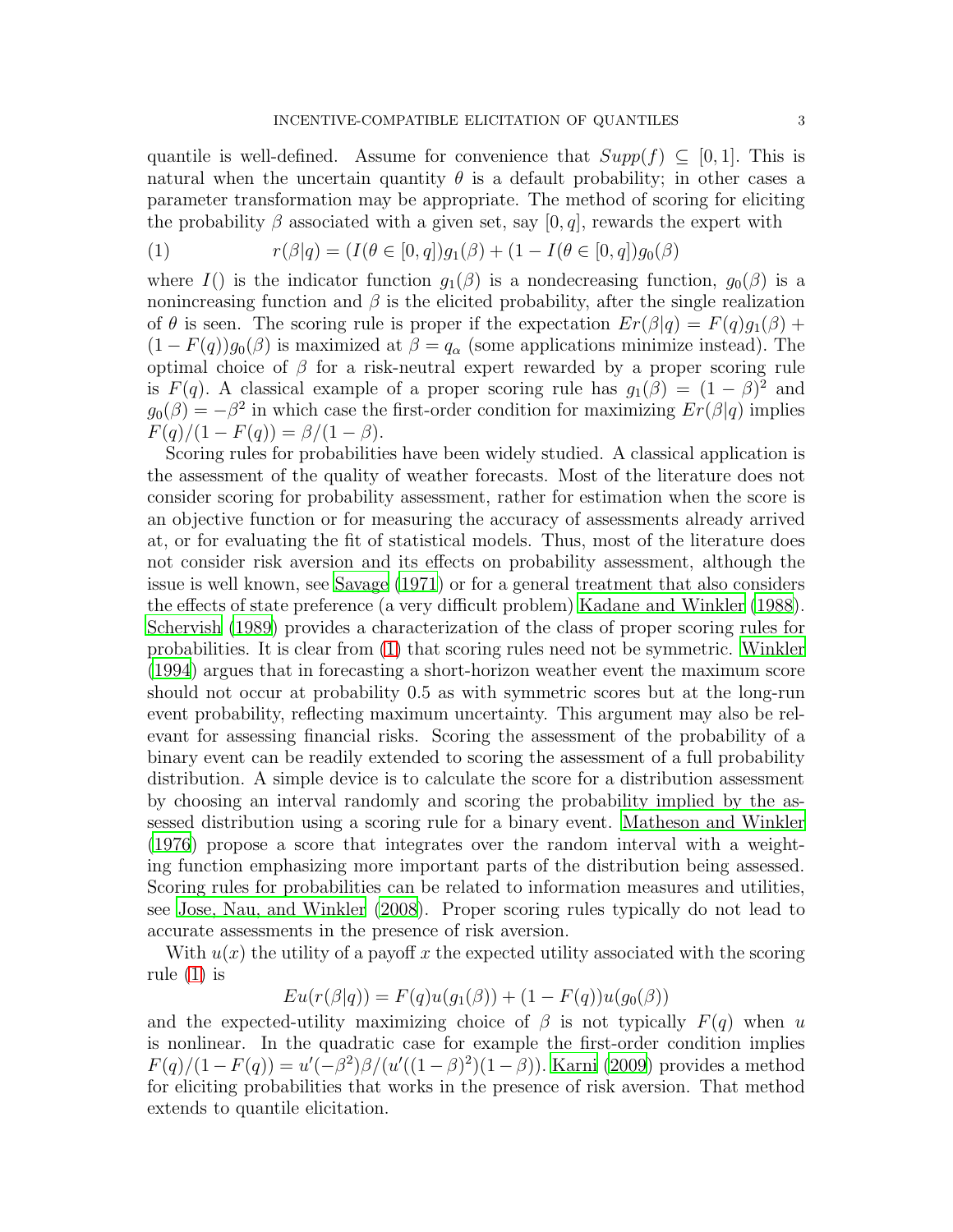quantile is well-defined. Assume for convenience that  $Supp(f) \subseteq [0,1]$ . This is natural when the uncertain quantity  $\theta$  is a default probability; in other cases a parameter transformation may be appropriate. The method of scoring for eliciting the probability  $\beta$  associated with a given set, say [0, q], rewards the expert with

<span id="page-2-0"></span>(1) 
$$
r(\beta|q) = (I(\theta \in [0, q])g_1(\beta) + (1 - I(\theta \in [0, q])g_0(\beta))
$$

where  $I()$  is the indicator function  $g_1(\beta)$  is a nondecreasing function,  $g_0(\beta)$  is a nonincreasing function and  $\beta$  is the elicited probability, after the single realization of  $\theta$  is seen. The scoring rule is proper if the expectation  $Er(\beta|q) = F(q)g_1(\beta) +$  $(1 - F(q))g_0(\beta)$  is maximized at  $\beta = q_\alpha$  (some applications minimize instead). The optimal choice of  $\beta$  for a risk-neutral expert rewarded by a proper scoring rule is  $F(q)$ . A classical example of a proper scoring rule has  $g_1(\beta) = (1 - \beta)^2$  and  $g_0(\beta) = -\beta^2$  in which case the first-order condition for maximizing  $Er(\beta|q)$  implies  $F(q)/(1 - F(q)) = \beta/(1 - \beta).$ 

Scoring rules for probabilities have been widely studied. A classical application is the assessment of the quality of weather forecasts. Most of the literature does not consider scoring for probability assessment, rather for estimation when the score is an objective function or for measuring the accuracy of assessments already arrived at, or for evaluating the fit of statistical models. Thus, most of the literature does not consider risk aversion and its effects on probability assessment, although the issue is well known, see [Savage \(1971](#page-5-4)) or for a general treatment that also considers the effects of state preference (a very difficult problem) [Kadane and Winkler \(1988\)](#page-5-9). [Schervish \(1989\)](#page-5-10) provides a characterization of the class of proper scoring rules for probabilities. It is clear from [\(1\)](#page-2-0) that scoring rules need not be symmetric. [Winkler](#page-5-11) [\(1994\)](#page-5-11) argues that in forecasting a short-horizon weather event the maximum score should not occur at probability 0.5 as with symmetric scores but at the long-run event probability, reflecting maximum uncertainty. This argument may also be relevant for assessing financial risks. Scoring the assessment of the probability of a binary event can be readily extended to scoring the assessment of a full probability distribution. A simple device is to calculate the score for a distribution assessment by choosing an interval randomly and scoring the probability implied by the assessed distribution using a scoring rule for a binary event. [Matheson and Winkler](#page-5-12) [\(1976\)](#page-5-12) propose a score that integrates over the random interval with a weighting function emphasizing more important parts of the distribution being assessed. Scoring rules for probabilities can be related to information measures and utilities, see [Jose, Nau, and Winkler \(2008](#page-5-13)). Proper scoring rules typically do not lead to accurate assessments in the presence of risk aversion.

With  $u(x)$  the utility of a payoff x the expected utility associated with the scoring rule  $(1)$  is

$$
Eu(r(\beta|q)) = F(q)u(g_1(\beta)) + (1 - F(q))u(g_0(\beta))
$$

and the expected-utility maximizing choice of  $\beta$  is not typically  $F(q)$  when u is nonlinear. In the quadratic case for example the first-order condition implies  $F(q)/(1 - F(q)) = u'(-\beta^2)\beta/(u'((1 - \beta)^2)(1 - \beta)).$  [Karni \(2009\)](#page-5-6) provides a method for eliciting probabilities that works in the presence of risk aversion. That method extends to quantile elicitation.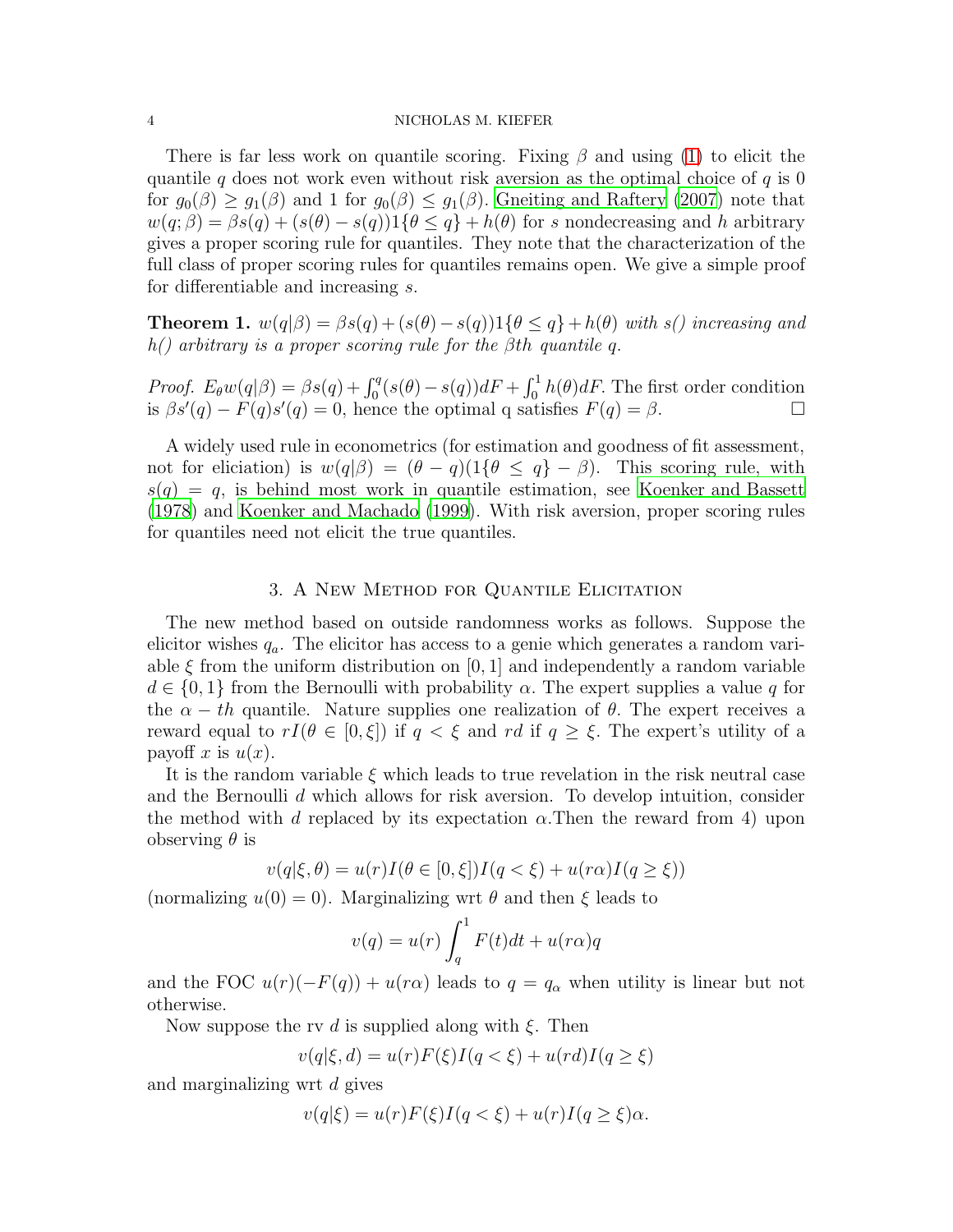#### 4 NICHOLAS M. KIEFER

There is far less work on quantile scoring. Fixing  $\beta$  and using [\(1\)](#page-2-0) to elicit the quantile q does not work even without risk aversion as the optimal choice of  $q$  is 0 for  $g_0(\beta) \geq g_1(\beta)$  and 1 for  $g_0(\beta) \leq g_1(\beta)$ . [Gneiting and Raftery \(2007\)](#page-5-14) note that  $w(q;\beta) = \beta s(q) + (s(\theta) - s(q))1\{\theta \leq q\} + h(\theta)$  for s nondecreasing and h arbitrary gives a proper scoring rule for quantiles. They note that the characterization of the full class of proper scoring rules for quantiles remains open. We give a simple proof for differentiable and increasing s.

**Theorem 1.**  $w(q|\beta) = \beta s(q) + (s(\theta) - s(q))1\{\theta \leq q\} + h(\theta)$  *with s() increasing and h() arbitrary is a proper scoring rule for the* βth *quantile* q.

*Proof.*  $E_{\theta}w(q|\beta) = \beta s(q) + \int_0^q (s(\theta) - s(q))dF + \int_0^1 h(\theta)dF$ . The first order condition is  $\beta s'(q) - F(q)s'(q) = 0$ , hence the optimal q satisfies  $F(q) = \beta$ .

A widely used rule in econometrics (for estimation and goodness of fit assessment, not for eliciation) is  $w(q|\beta) = (\theta - q)(1\{\theta \leq q\} - \beta)$ . This scoring rule, with  $s(q) = q$ , is behind most work in quantile estimation, see [Koenker and Bassett](#page-5-15) [\(1978\)](#page-5-15) and [Koenker and Machado \(1999](#page-5-16)). With risk aversion, proper scoring rules for quantiles need not elicit the true quantiles.

## 3. A New Method for Quantile Elicitation

The new method based on outside randomness works as follows. Suppose the elicitor wishes  $q_a$ . The elicitor has access to a genie which generates a random variable  $\xi$  from the uniform distribution on [0, 1] and independently a random variable  $d \in \{0,1\}$  from the Bernoulli with probability  $\alpha$ . The expert supplies a value q for the  $\alpha - th$  quantile. Nature supplies one realization of  $\theta$ . The expert receives a reward equal to  $rI(\theta \in [0,\xi])$  if  $q < \xi$  and rd if  $q \geq \xi$ . The expert's utility of a payoff x is  $u(x)$ .

It is the random variable  $\xi$  which leads to true revelation in the risk neutral case and the Bernoulli d which allows for risk aversion. To develop intuition, consider the method with d replaced by its expectation  $\alpha$ . Then the reward from 4) upon observing  $\theta$  is

$$
v(q|\xi,\theta) = u(r)I(\theta \in [0,\xi])I(q<\xi) + u(r\alpha)I(q\geq \xi))
$$

(normalizing  $u(0) = 0$ ). Marginalizing wrt  $\theta$  and then  $\xi$  leads to

$$
v(q) = u(r) \int_q^1 F(t)dt + u(r\alpha)q
$$

and the FOC  $u(r)(-F(q)) + u(r\alpha)$  leads to  $q = q_\alpha$  when utility is linear but not otherwise.

Now suppose the rv d is supplied along with  $\xi$ . Then

$$
v(q|\xi,d)=u(r)F(\xi)I(q<\xi)+u(rd)I(q\geq\xi)
$$

and marginalizing wrt d gives

$$
v(q|\xi) = u(r)F(\xi)I(q<\xi) + u(r)I(q\geq \xi)\alpha.
$$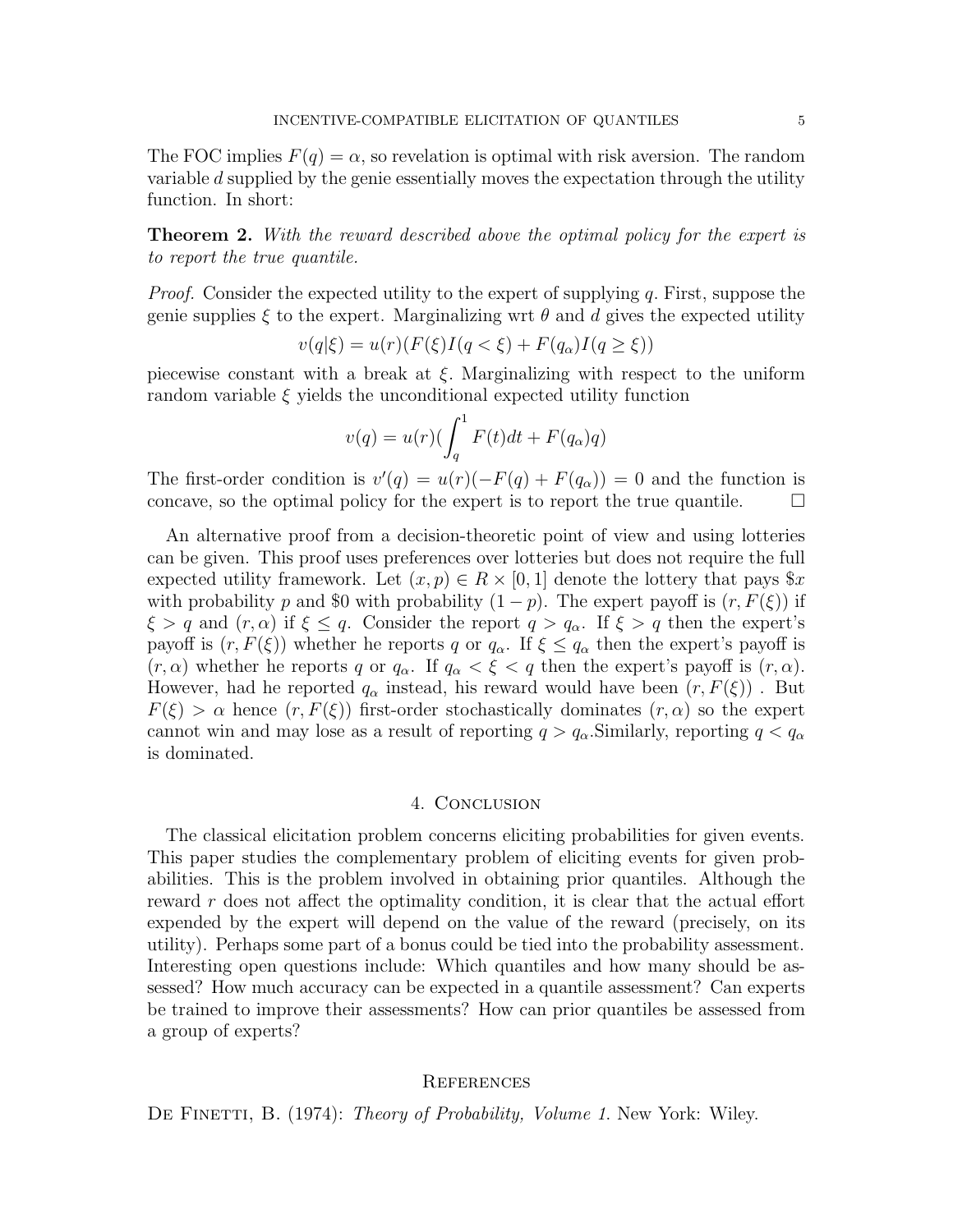The FOC implies  $F(q) = \alpha$ , so revelation is optimal with risk aversion. The random variable d supplied by the genie essentially moves the expectation through the utility function. In short:

Theorem 2. *With the reward described above the optimal policy for the expert is to report the true quantile.*

*Proof.* Consider the expected utility to the expert of supplying q. First, suppose the genie supplies  $\xi$  to the expert. Marginalizing wrt  $\theta$  and d gives the expected utility

$$
v(q|\xi) = u(r)(F(\xi)I(q < \xi) + F(q_{\alpha})I(q \ge \xi))
$$

piecewise constant with a break at  $\xi$ . Marginalizing with respect to the uniform random variable  $\xi$  yields the unconditional expected utility function

$$
v(q) = u(r)\left(\int_q^1 F(t)dt + F(q_\alpha)q\right)
$$

The first-order condition is  $v'(q) = u(r)(-F(q) + F(q_\alpha)) = 0$  and the function is concave, so the optimal policy for the expert is to report the true quantile.  $\Box$ 

An alternative proof from a decision-theoretic point of view and using lotteries can be given. This proof uses preferences over lotteries but does not require the full expected utility framework. Let  $(x, p) \in R \times [0, 1]$  denote the lottery that pays  $x$ with probability p and \$0 with probability  $(1 - p)$ . The expert payoff is  $(r, F(\xi))$  if  $\xi > q$  and  $(r, \alpha)$  if  $\xi \leq q$ . Consider the report  $q > q_{\alpha}$ . If  $\xi > q$  then the expert's payoff is  $(r, F(\xi))$  whether he reports q or  $q_{\alpha}$ . If  $\xi \leq q_{\alpha}$  then the expert's payoff is  $(r, \alpha)$  whether he reports q or  $q_{\alpha}$ . If  $q_{\alpha} < \xi < q$  then the expert's payoff is  $(r, \alpha)$ . However, had he reported  $q_{\alpha}$  instead, his reward would have been  $(r, F(\xi))$ . But  $F(\xi) > \alpha$  hence  $(r, F(\xi))$  first-order stochastically dominates  $(r, \alpha)$  so the expert cannot win and may lose as a result of reporting  $q > q_\alpha$ . Similarly, reporting  $q < q_\alpha$ is dominated.

## 4. Conclusion

The classical elicitation problem concerns eliciting probabilities for given events. This paper studies the complementary problem of eliciting events for given probabilities. This is the problem involved in obtaining prior quantiles. Although the reward r does not affect the optimality condition, it is clear that the actual effort expended by the expert will depend on the value of the reward (precisely, on its utility). Perhaps some part of a bonus could be tied into the probability assessment. Interesting open questions include: Which quantiles and how many should be assessed? How much accuracy can be expected in a quantile assessment? Can experts be trained to improve their assessments? How can prior quantiles be assessed from a group of experts?

## **REFERENCES**

<span id="page-4-0"></span>DE FINETTI, B. (1974): *Theory of Probability, Volume 1*. New York: Wiley.